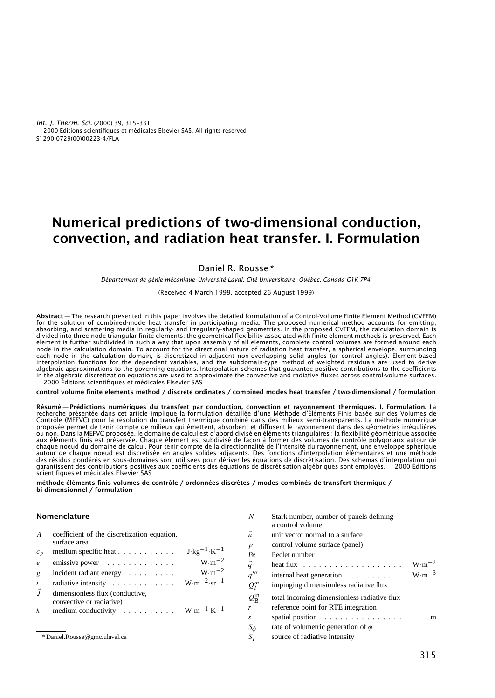*Int. J. Therm. Sci.* (2000) 39, 315–331 2000 Éditions scientifiques et médicales Elsevier SAS. All rights reserved S1290-0729(00)00223-4/FLA

# **Numerical predictions of two-dimensional conduction, convection, and radiation heat transfer. I. Formulation**

### Daniel R. Rousse \*

*Département de génie mécanique–Université Laval, Cité Universitaire, Québec, Canada G1K 7P4*

(Received 4 March 1999, accepted 26 August 1999)

**Abstract** —The research presented in this paper involves the detailed formulation of a Control-Volume Finite Element Method (CVFEM) for the solution of combined-mode heat transfer in participating media. The proposed numerical method accounts for emitting,<br>absorbing, and scattering media in regularly- and irregularly-shaped geometries. In the proposed divided into three-node triangular finite elements: the geometrical flexibility associated with finite element methods is preserved. Each element is further subdivided in such a way that upon assembly of all elements, complete control volumes are formed around each node in the calculation domain. To account for the directional nature of radiation heat transfer, a spherical envelope, surrounding each node in the calculation domain, is discretized in adjacent non-overlapping solid angles (or control angles). Element-based interpolation functions for the dependent variables, and the subdomain-type method of weighted residuals are used to derive<br>algebraic approximations to the governing equations. Interpolation schemes that guarantee positive in the algebraic discretization equations are used to approximate the convective and radiative fluxes across control-volume surfaces. 2000 Éditions scientifiques et médicales Elsevier SAS

**control volume finite elements method / discrete ordinates / combined modes heat transfer / two-dimensional / formulation**

**Résumé** —**Prédictions numériques du transfert par conduction, convection et rayonnement thermiques. I. Formulation.** La recherche présentée dans cet article implique la formulation détaillée d'une Méthode d'Éléments Finis basée sur des Volumes de Contrôle (MEFVC) pour la résolution du transfert thermique combiné dans des milieux semi-transparents. La méthode numérique proposée permet de tenir compte de milieux qui émettent, absorbent et diffusent le rayonnement dans des géométries irrégulières ou non. Dans la MEFVC proposée, le domaine de calcul est d'abord divisé en éléments triangulaires : la flexibilité géométrique associée aux éléments finis est préservée. Chaque élément est subdivisé de façon à former des volumes de contrôle polygonaux autour de<br>chaque noeud du domaine de calcul. Pour tenir compte de la directionnalité de l'intensité du ray autour de chaque noeud est discrétisée en angles solides adjacents. Des fonctions d'interpolation élémentaires et une méthode des résidus pondérés en sous-domaines sont utilisées pour dériver les équations de discrétisation. Des schémas d'interpolation qui garantissent des contributions positives aux coefficients des équations de discrétisation algébriques sont employés. 2000 Éditions scientifiques et médicales Elsevier SAS

**méthode éléments finis volumes de contrôle / ordonnées discrètes / modes combinés de transfert thermique / bi-dimensionnel / formulation**

#### **Nomenclature**

| $\overline{A}$ | coefficient of the discretization equation,<br>surface area         |                                |
|----------------|---------------------------------------------------------------------|--------------------------------|
| $c_p$          | medium specific heat                                                | $J \cdot kg^{-1} \cdot K^{-1}$ |
| $\epsilon$     | emissive power                                                      | $W \cdot m^{-2}$               |
| g              | incident radiant energy                                             | $W \cdot m^{-2}$               |
| i              | radiative intensity                                                 | $W \cdot m^{-2} \cdot sr^{-1}$ |
| $\vec{J}$      | dimensionless flux (conductive,<br>convective or radiative)         |                                |
| $\mathbf{k}$   | $\text{medium conductivity} \quad \ldots \quad \ldots \quad \ldots$ | $W \cdot m^{-1} \cdot K^{-1}$  |

<sup>\*</sup> Daniel.Rousse@gmc.ulaval.ca

*N* Stark number, number of panels defining a control volume  $\vec{n}$  unit vector normal to a surface *p* control volume surface (panel) *Pe* Peclet number  $\vec{q}$  heat flux . . . . . . . . . . . . . . . . . . W·m<sup>-2</sup><br>*q'''* internal heat generation . . . . . . . . . . . W·m<sup>-3</sup>  $q^{\prime\prime\prime}$  internal heat generation  $\dots \dots \dots$  $Q_l^m$ *<sup>l</sup>* impinging dimensionless radiative flux *Q*in total incoming dimensionless radiative flux *r* reference point for RTE integration *s* spatial position . . . . . . . . . . . . . . . m *Sφ* rate of volumetric generation of *φ S<sub>I</sub>* source of radiative intensity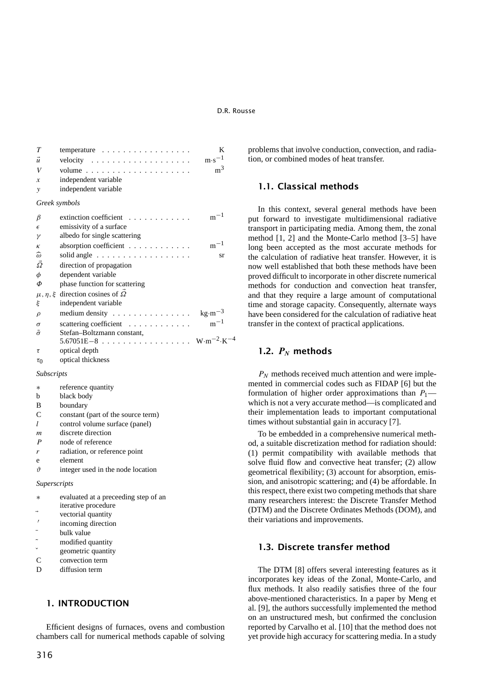| T<br>$\vec{u}$<br>V<br>$\boldsymbol{x}$<br>y | temperature $\ldots \ldots \ldots \ldots \ldots$<br>velocity $\ldots \ldots \ldots \ldots \ldots$<br>independent variable<br>independent variable | K<br>$m \cdot s^{-1}$<br>m <sup>3</sup> |
|----------------------------------------------|---------------------------------------------------------------------------------------------------------------------------------------------------|-----------------------------------------|
|                                              | Greek symbols                                                                                                                                     |                                         |
| β<br>$\epsilon$<br>γ                         | extinction coefficient $\ldots$ , $\ldots$<br>emissivity of a surface<br>albedo for single scattering                                             | $m^{-1}$                                |
| $\kappa$                                     | absorption coefficient                                                                                                                            | $m^{-1}$                                |
| $\widehat{\omega}$                           |                                                                                                                                                   | sr                                      |
| $\vec{\Omega}$<br>$\phi$                     | direction of propagation<br>dependent variable                                                                                                    |                                         |
| Φ                                            | phase function for scattering                                                                                                                     |                                         |
| ξ                                            | $\mu$ , $\eta$ , $\xi$ direction cosines of $\vec{\Omega}$<br>independent variable                                                                |                                         |
| $\rho$                                       | medium density                                                                                                                                    | $\text{kg}\cdot\text{m}^{-3}$           |
| $\sigma$                                     | scattering coefficient                                                                                                                            | $m^{-1}$                                |
| $\tilde{\sigma}$                             | Stefan-Boltzmann constant,<br>5.67051E-8 W $\cdot m^{-2} \cdot K^{-4}$                                                                            |                                         |
| τ                                            | optical depth                                                                                                                                     |                                         |
| $\tau_0$                                     | optical thickness                                                                                                                                 |                                         |

#### *Subscripts*

| reference quantity |
|--------------------|
|                    |

- b black body
- B boundary
- C constant (part of the source term)
- *l* control volume surface (panel)
- *m* discrete direction
- *P* node of reference
- *r* radiation, or reference point
- e element
- *ϑ* integer used in the node location

#### *Superscripts*

- ∗ evaluated at a preceeding step of an iterative procedure
- vectorial quantity<br>incoming direction
- 
- bulk value
- modified quantity
- Example of the geometric quantity<br>C convection term
- convection term
- D diffusion term

# **1. INTRODUCTION**

Efficient designs of furnaces, ovens and combustion chambers call for numerical methods capable of solving problems that involve conduction, convection, and radiation, or combined modes of heat transfer.

# **1.1. Classical methods**

In this context, several general methods have been put forward to investigate multidimensional radiative transport in participating media. Among them, the zonal method [1, 2] and the Monte-Carlo method [3–5] have long been accepted as the most accurate methods for the calculation of radiative heat transfer. However, it is now well established that both these methods have been proved difficult to incorporate in other discrete numerical methods for conduction and convection heat transfer, and that they require a large amount of computational time and storage capacity. Consequently, alternate ways have been considered for the calculation of radiative heat transfer in the context of practical applications.

# 1.2.  $P_N$  methods

*PN* methods received much attention and were implemented in commercial codes such as FIDAP [6] but the formulation of higher order approximations than  $P_1$  which is not a very accurate method—is complicated and their implementation leads to important computational times without substantial gain in accuracy [7].

To be embedded in a comprehensive numerical method, a suitable discretization method for radiation should: (1) permit compatibility with available methods that solve fluid flow and convective heat transfer; (2) allow geometrical flexibility; (3) account for absorption, emission, and anisotropic scattering; and (4) be affordable. In this respect, there exist two competing methods that share many researchers interest: the Discrete Transfer Method (DTM) and the Discrete Ordinates Methods (DOM), and their variations and improvements.

# **1.3. Discrete transfer method**

The DTM [8] offers several interesting features as it incorporates key ideas of the Zonal, Monte-Carlo, and flux methods. It also readily satisfies three of the four above-mentioned characteristics. In a paper by Meng et al. [9], the authors successfully implemented the method on an unstructured mesh, but confirmed the conclusion reported by Carvalho et al. [10] that the method does not yet provide high accuracy for scattering media. In a study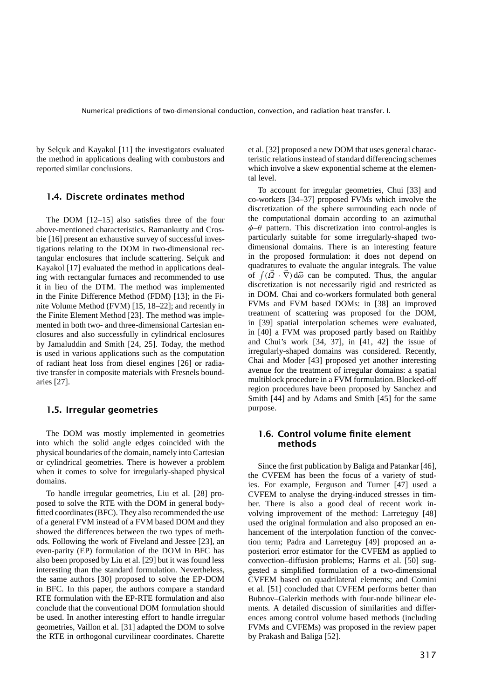by Selçuk and Kayakol [11] the investigators evaluated the method in applications dealing with combustors and reported similar conclusions.

## **1.4. Discrete ordinates method**

The DOM [12–15] also satisfies three of the four above-mentioned characteristics. Ramankutty and Crosbie [16] present an exhaustive survey of successful investigations relating to the DOM in two-dimensional rectangular enclosures that include scattering. Selçuk and Kayakol [17] evaluated the method in applications dealing with rectangular furnaces and recommended to use it in lieu of the DTM. The method was implemented in the Finite Difference Method (FDM) [13]; in the Finite Volume Method (FVM) [15, 18–22]; and recently in the Finite Element Method [23]. The method was implemented in both two- and three-dimensional Cartesian enclosures and also successfully in cylindrical enclosures by Jamaluddin and Smith [24, 25]. Today, the method is used in various applications such as the computation of radiant heat loss from diesel engines [26] or radiative transfer in composite materials with Fresnels boundaries [27].

#### **1.5. Irregular geometries**

The DOM was mostly implemented in geometries into which the solid angle edges coincided with the physical boundaries of the domain, namely into Cartesian or cylindrical geometries. There is however a problem when it comes to solve for irregularly-shaped physical domains.

To handle irregular geometries, Liu et al. [28] proposed to solve the RTE with the DOM in general bodyfitted coordinates (BFC). They also recommended the use of a general FVM instead of a FVM based DOM and they showed the differences between the two types of methods. Following the work of Fiveland and Jessee [23], an even-parity (EP) formulation of the DOM in BFC has also been proposed by Liu et al. [29] but it was found less interesting than the standard formulation. Nevertheless, the same authors [30] proposed to solve the EP-DOM in BFC. In this paper, the authors compare a standard RTE formulation with the EP-RTE formulation and also conclude that the conventional DOM formulation should be used. In another interesting effort to handle irregular geometries, Vaillon et al. [31] adapted the DOM to solve the RTE in orthogonal curvilinear coordinates. Charette

et al. [32] proposed a new DOM that uses general characteristic relations instead of standard differencing schemes which involve a skew exponential scheme at the elemental level.

To account for irregular geometries, Chui [33] and co-workers [34–37] proposed FVMs which involve the discretization of the sphere surrounding each node of the computational domain according to an azimuthal *φ*–*θ* pattern. This discretization into control-angles is particularly suitable for some irregularly-shaped twodimensional domains. There is an interesting feature in the proposed formulation: it does not depend on quadratures to evaluate the angular integrals. The value of  $\int (\vec{Q} \cdot \vec{\nabla}) d\hat{\omega}$  can be computed. Thus, the angular discontinuition is not possessibly giaid and positioted as discretization is not necessarily rigid and restricted as in DOM. Chai and co-workers formulated both general FVMs and FVM based DOMs: in [38] an improved treatment of scattering was proposed for the DOM, in [39] spatial interpolation schemes were evaluated, in [40] a FVM was proposed partly based on Raithby and Chui's work [34, 37], in [41, 42] the issue of irregularly-shaped domains was considered. Recently, Chai and Moder [43] proposed yet another interesting avenue for the treatment of irregular domains: a spatial multiblock procedure in a FVM formulation. Blocked-off region procedures have been proposed by Sanchez and Smith [44] and by Adams and Smith [45] for the same purpose.

## **1.6. Control volume finite element methods**

Since the first publication by Baliga and Patankar [46], the CVFEM has been the focus of a variety of studies. For example, Ferguson and Turner [47] used a CVFEM to analyse the drying-induced stresses in timber. There is also a good deal of recent work involving improvement of the method: Larreteguy [48] used the original formulation and also proposed an enhancement of the interpolation function of the convection term; Padra and Larreteguy [49] proposed an aposteriori error estimator for the CVFEM as applied to convection–diffusion problems; Harms et al. [50] suggested a simplified formulation of a two-dimensional CVFEM based on quadrilateral elements; and Comini et al. [51] concluded that CVFEM performs better than Bubnov–Galerkin methods with four-node bilinear elements. A detailed discussion of similarities and differences among control volume based methods (including FVMs and CVFEMs) was proposed in the review paper by Prakash and Baliga [52].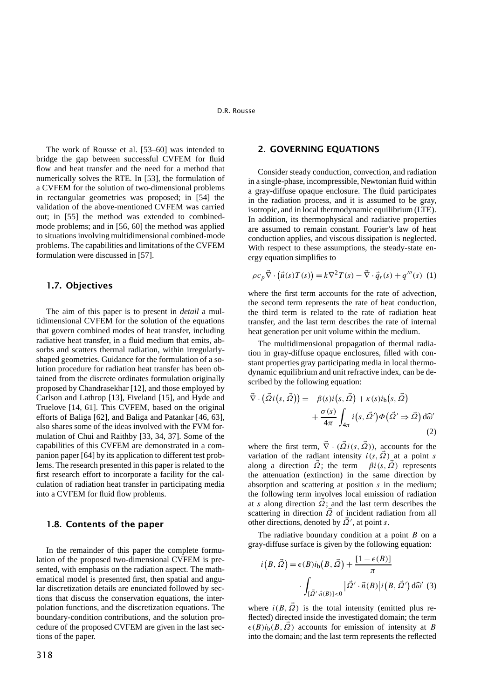The work of Rousse et al. [53–60] was intended to bridge the gap between successful CVFEM for fluid flow and heat transfer and the need for a method that numerically solves the RTE. In [53], the formulation of a CVFEM for the solution of two-dimensional problems in rectangular geometries was proposed; in [54] the validation of the above-mentioned CVFEM was carried out; in [55] the method was extended to combinedmode problems; and in [56, 60] the method was applied to situations involving multidimensional combined-mode problems. The capabilities and limitations of the CVFEM formulation were discussed in [57].

#### **1.7. Objectives**

The aim of this paper is to present in *detail* a multidimensional CVFEM for the solution of the equations that govern combined modes of heat transfer, including radiative heat transfer, in a fluid medium that emits, absorbs and scatters thermal radiation, within irregularlyshaped geometries. Guidance for the formulation of a solution procedure for radiation heat transfer has been obtained from the discrete ordinates formulation originally proposed by Chandrasekhar [12], and those employed by Carlson and Lathrop [13], Fiveland [15], and Hyde and Truelove [14, 61]. This CVFEM, based on the original efforts of Baliga [62], and Baliga and Patankar [46, 63], also shares some of the ideas involved with the FVM formulation of Chui and Raithby [33, 34, 37]. Some of the capabilities of this CVFEM are demonstrated in a companion paper [64] by its application to different test problems. The research presented in this paper is related to the first research effort to incorporate a facility for the calculation of radiation heat transfer in participating media into a CVFEM for fluid flow problems.

## **1.8. Contents of the paper**

In the remainder of this paper the complete formulation of the proposed two-dimensional CVFEM is presented, with emphasis on the radiation aspect. The mathematical model is presented first, then spatial and angular discretization details are enunciated followed by sections that discuss the conservation equations, the interpolation functions, and the discretization equations. The boundary-condition contributions, and the solution procedure of the proposed CVFEM are given in the last sections of the paper.

## **2. GOVERNING EQUATIONS**

Consider steady conduction, convection, and radiation in a single-phase, incompressible, Newtonian fluid within a gray-diffuse opaque enclosure. The fluid participates in the radiation process, and it is assumed to be gray, isotropic, and in local thermodynamic equilibrium (LTE). In addition, its thermophysical and radiative properties are assumed to remain constant. Fourier's law of heat conduction applies, and viscous dissipation is neglected. With respect to these assumptions, the steady-state energy equation simplifies to

$$
\rho c_p \vec{\nabla} \cdot (\vec{u}(s)T(s)) = k \nabla^2 T(s) - \vec{\nabla} \cdot \vec{q}_r(s) + q'''(s)
$$
 (1)

where the first term accounts for the rate of advection, the second term represents the rate of heat conduction, the third term is related to the rate of radiation heat transfer, and the last term describes the rate of internal heat generation per unit volume within the medium.

The multidimensional propagation of thermal radiation in gray-diffuse opaque enclosures, filled with constant properties gray participating media in local thermodynamic equilibrium and unit refractive index, can be described by the following equation:

$$
\vec{\nabla} \cdot (\vec{\Omega} i (s, \vec{\Omega})) = -\beta(s) i (s, \vec{\Omega}) + \kappa(s) i_{b} (s, \vec{\Omega}) \n+ \frac{\sigma(s)}{4\pi} \int_{4\pi} i (s, \vec{\Omega}') \Phi(\vec{\Omega}' \Rightarrow \vec{\Omega}) d\hat{\omega}'
$$
\n(2)

where the first term,  $\vec{\nabla} \cdot (\vec{\Omega} i(s, \vec{\Omega}))$ , accounts for the variation of the radiant intensity  $i(s, \Omega)$  at a point *s* along a direction  $\overrightarrow{Q}$ ; the term  $-\beta i(s, \overrightarrow{Q})$  represents the attenuation (extinction) in the same direction by absorption and scattering at position *s* in the medium; the following term involves local emission of radiation at *s* along direction  $\overrightarrow{Q}$ ; and the last term describes the scattering in direction  $\overrightarrow{Q}$  of incident radiation from all other directions, denoted by  $\Omega'$ , at point *s*.

The radiative boundary condition at a point *B* on a gray-diffuse surface is given by the following equation:

$$
i(B, \vec{\Omega}) = \epsilon(B)i_b(B, \vec{\Omega}) + \frac{[1 - \epsilon(B)]}{\pi}
$$

$$
\cdot \int_{[\vec{\Omega}', \vec{n}(B)] < 0} |\vec{\Omega}' \cdot \vec{n}(B)| i(B, \vec{\Omega}') d\hat{\omega}'(3)
$$

where  $i(B, \vec{\Omega})$  is the total intensity (emitted plus reflected) directed inside the investigated domain; the term  $\epsilon(B)i_b(B,\Omega)$  accounts for emission of intensity at *B* into the domain; and the last term represents the reflected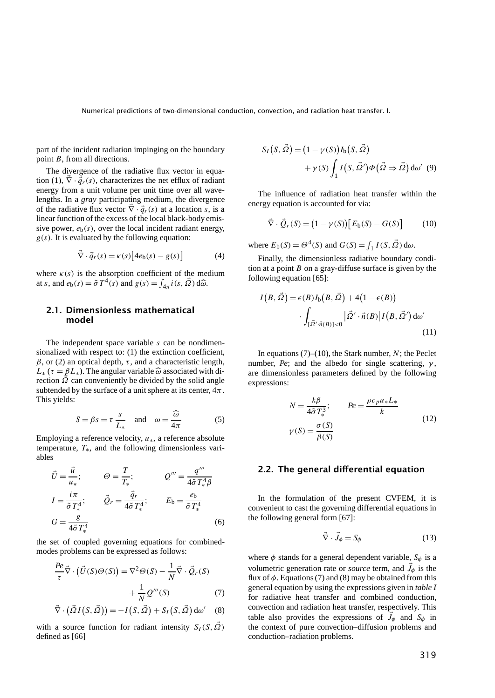part of the incident radiation impinging on the boundary point *B*, from all directions.

The divergence of the radiative flux vector in equation (1),  $\vec{\nabla} \cdot \vec{q}_r(s)$ , characterizes the net efflux of radiant energy from a unit volume per unit time over all wavelengths. In a *gray* participating medium, the divergence of the radiative flux vector  $\vec{\nabla} \cdot \vec{q}_r(s)$  at a location *s*, is a linear function of the excess of the local black-body emissive power,  $e_b(s)$ , over the local incident radiant energy, *g(s)*. It is evaluated by the following equation:

$$
\vec{\nabla} \cdot \vec{q}_r(s) = \kappa(s) \left[ 4e_b(s) - g(s) \right] \tag{4}
$$

where  $\kappa(s)$  is the absorption coefficient of the medium at *s*, and  $e_b(s) = \tilde{\sigma} T^4(s)$  and  $g(s) = \int_{4\pi} i(s, \vec{\Omega}) d\hat{\omega}$ .

# **2.1. Dimensionless mathematical model**

The independent space variable *s* can be nondimensionalized with respect to: (1) the extinction coefficient,  $β$ , or (2) an optical depth,  $τ$ , and a characteristic length,  $L_*(\tau = \beta L_*)$ . The angular variable  $\widehat{\omega}$  associated with direction  $\Omega$  can conveniently be divided by the solid angle subtended by the surface of a unit sphere at its center,  $4\pi$ . This yields:

$$
S = \beta s = \tau \frac{s}{L_*} \quad \text{and} \quad \omega = \frac{\widehat{\omega}}{4\pi} \tag{5}
$$

Employing a reference velocity, *u*∗, a reference absolute temperature, *T*∗, and the following dimensionless variables

$$
\vec{U} = \frac{\vec{u}}{u_*}; \qquad \Theta = \frac{T}{T_*}; \qquad Q''' = \frac{q'''}{4\tilde{\sigma} T_*^4 \beta}
$$
\n
$$
I = \frac{i\pi}{\tilde{\sigma} T_*^4}; \qquad \vec{Q}_r = \frac{\vec{q}_r}{4\tilde{\sigma} T_*^4}; \qquad E_b = \frac{e_b}{\tilde{\sigma} T_*^4}
$$
\n
$$
G = \frac{g}{4\tilde{\sigma} T_*^4} \tag{6}
$$

the set of coupled governing equations for combinedmodes problems can be expressed as follows:

$$
\frac{Pe}{\tau}\vec{\nabla}\cdot(\vec{U}(S)\Theta(S)) = \nabla^2\Theta(S) - \frac{1}{N}\vec{\nabla}\cdot\vec{Q}_r(S)
$$
  
+ 
$$
\frac{1}{N}Q'''(S)
$$
(7)

$$
\vec{\nabla} \cdot (\vec{\Omega} I(S, \vec{\Omega})) = -I(S, \vec{\Omega}) + S_I(S, \vec{\Omega}) d\omega' \quad (8)
$$

with a source function for radiant intensity  $S_I(S, \vec{\Omega})$ defined as [66]

$$
S_I(S, \vec{\Omega}) = (1 - \gamma(S))I_b(S, \vec{\Omega})
$$
  
+  $\gamma(S) \int_1 I(S, \vec{\Omega}') \Phi(\vec{\Omega} \Rightarrow \vec{\Omega}) d\omega'$  (9)

The influence of radiation heat transfer within the energy equation is accounted for via:

$$
\vec{\nabla} \cdot \vec{Q}_r(S) = (1 - \gamma(S)) [E_b(S) - G(S)] \tag{10}
$$

where  $E_b(S) = \Theta^4(S)$  and  $G(S) = \int_1 I(S, \vec{\Omega}) d\omega$ .

Finally, the dimensionless radiative boundary condition at a point *B* on a gray-diffuse surface is given by the following equation [65]:

$$
I(B, \vec{\Omega}) = \epsilon(B)I_{b}(B, \vec{\Omega}) + 4(1 - \epsilon(B))
$$

$$
\cdot \int_{[\vec{\Omega}^{\prime} \cdot \vec{n}(B)] < 0} |\vec{\Omega}^{\prime} \cdot \vec{n}(B)| I(B, \vec{\Omega}^{\prime}) d\omega^{\prime}
$$
\n(11)

In equations (7)–(10), the Stark number, *N*; the Peclet number, *Pe*; and the albedo for single scattering, *γ* , are dimensionless parameters defined by the following expressions:

$$
N = \frac{k\beta}{4\tilde{\sigma}T_*^3}; \qquad Pe = \frac{\rho c_p u_* L_*}{k}
$$
  

$$
\gamma(S) = \frac{\sigma(S)}{\beta(S)}
$$
 (12)

#### **2.2. The general differential equation**

In the formulation of the present CVFEM, it is convenient to cast the governing differential equations in the following general form [67]:

$$
\vec{\nabla} \cdot \vec{J}_{\phi} = S_{\phi} \tag{13}
$$

where  $\phi$  stands for a general dependent variable,  $S_{\phi}$  is a volumetric generation rate or *source* term, and  $J_{\phi}$  is the flux of  $\phi$ . Equations (7) and (8) may be obtained from this general equation by using the expressions given in *table I* for radiative heat transfer and combined conduction, convection and radiation heat transfer, respectively. This table also provides the expressions of  $J_{\phi}$  and  $S_{\phi}$  in the context of pure convection–diffusion problems and conduction–radiation problems.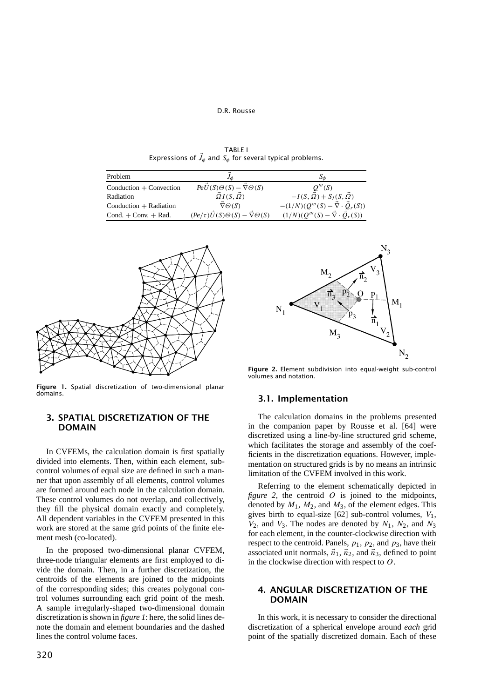TABLE I Expressions of  $J_\phi$  and  $S_\phi$  for several typical problems.

| Problem                   | Jф                                       | Δφ                                                  |
|---------------------------|------------------------------------------|-----------------------------------------------------|
| $Conduction + Convection$ | $PeU(S)\Theta(S) - \nabla\Theta(S)$      | O'''(S)                                             |
| Radiation                 | $\Omega I(S,\Omega)$                     | $-I(S,\Omega) + S_I(S,\Omega)$                      |
| Conduction $+$ Radiation  | $\nabla \Theta(S)$                       | $-(1/N)(Q'''(S) - \vec{\nabla} \cdot \vec{Q}_r(S))$ |
| $Cond. + Conv. + Rad.$    | $(Pe/\tau)U(S)\Theta(S)-\nabla\Theta(S)$ | $(1/N)(Q'''(S) - \vec{\nabla} \cdot \vec{Q}_r(S))$  |



**Figure 1.** Spatial discretization of two-dimensional planar domains.

# **3. SPATIAL DISCRETIZATION OF THE DOMAIN**

In CVFEMs, the calculation domain is first spatially divided into elements. Then, within each element, subcontrol volumes of equal size are defined in such a manner that upon assembly of all elements, control volumes are formed around each node in the calculation domain. These control volumes do not overlap, and collectively, they fill the physical domain exactly and completely. All dependent variables in the CVFEM presented in this work are stored at the same grid points of the finite element mesh (co-located).

In the proposed two-dimensional planar CVFEM, three-node triangular elements are first employed to divide the domain. Then, in a further discretization, the centroids of the elements are joined to the midpoints of the corresponding sides; this creates polygonal control volumes surrounding each grid point of the mesh. A sample irregularly-shaped two-dimensional domain discretization is shown in *figure 1*: here, the solid lines denote the domain and element boundaries and the dashed lines the control volume faces.



**Figure 2.** Element subdivision into equal-weight sub-control volumes and notation.

#### **3.1. Implementation**

The calculation domains in the problems presented in the companion paper by Rousse et al. [64] were discretized using a line-by-line structured grid scheme, which facilitates the storage and assembly of the coefficients in the discretization equations. However, implementation on structured grids is by no means an intrinsic limitation of the CVFEM involved in this work.

Referring to the element schematically depicted in *figure 2*, the centroid *O* is joined to the midpoints, denoted by *M*1, *M*2, and *M*3, of the element edges. This gives birth to equal-size [62] sub-control volumes, *V*1,  $V_2$ , and  $V_3$ . The nodes are denoted by  $N_1$ ,  $N_2$ , and  $N_3$ for each element, in the counter-clockwise direction with respect to the centroid. Panels, *p*1, *p*2, and *p*3, have their associated unit normals,  $\vec{n}_1$ ,  $\vec{n}_2$ , and  $\vec{n}_3$ , defined to point in the clockwise direction with respect to *O*.

### **4. ANGULAR DISCRETIZATION OF THE DOMAIN**

In this work, it is necessary to consider the directional discretization of a spherical envelope around *each* grid point of the spatially discretized domain. Each of these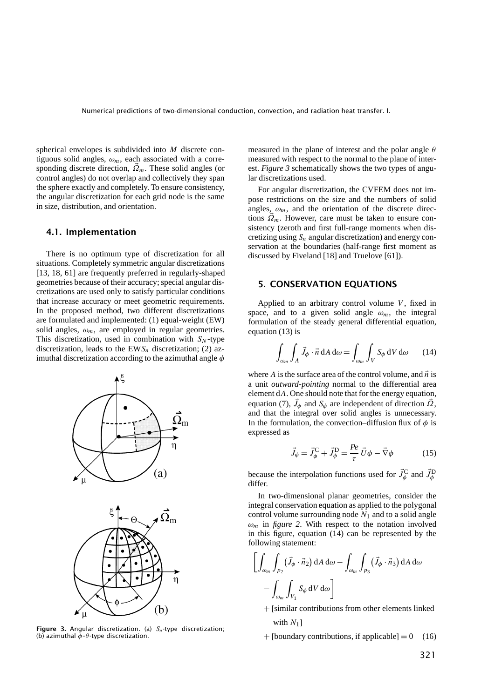spherical envelopes is subdivided into *M* discrete contiguous solid angles,  $\omega_m$ , each associated with a corresponding discrete direction,  $\vec{\Omega}_m$ . These solid angles (or control angles) do not overlap and collectively they span the sphere exactly and completely. To ensure consistency, the angular discretization for each grid node is the same in size, distribution, and orientation.

#### **4.1. Implementation**

There is no optimum type of discretization for all situations. Completely symmetric angular discretizations [13, 18, 61] are frequently preferred in regularly-shaped geometries because of their accuracy; special angular discretizations are used only to satisfy particular conditions that increase accuracy or meet geometric requirements. In the proposed method, two different discretizations are formulated and implemented: (1) equal-weight (EW) solid angles,  $\omega_m$ , are employed in regular geometries. This discretization, used in combination with  $S_N$ -type discretization, leads to the  $EWS_n$  discretization; (2) azimuthal discretization according to the azimuthal angle *φ*





**Figure 3.** Angular discretization. (a) *Sn*-type discretization; (b) azimuthal  $\bar{\phi}$ - $\theta$ -type discretization.

measured in the plane of interest and the polar angle *θ* measured with respect to the normal to the plane of interest. *Figure 3* schematically shows the two types of angular discretizations used.

For angular discretization, the CVFEM does not impose restrictions on the size and the numbers of solid angles,  $\omega_m$ , and the orientation of the discrete directions  $\Omega_m$ . However, care must be taken to ensure consistency (zeroth and first full-range moments when discretizing using  $S_n$  angular discretization) and energy conservation at the boundaries (half-range first moment as discussed by Fiveland [18] and Truelove [61]).

#### **5. CONSERVATION EQUATIONS**

Applied to an arbitrary control volume  $V$ , fixed in space, and to a given solid angle  $\omega_m$ , the integral formulation of the steady general differential equation, equation (13) is

$$
\int_{\omega_m} \int_A \vec{J}_\phi \cdot \vec{n} \, dA \, d\omega = \int_{\omega_m} \int_V S_\phi \, dV \, d\omega \qquad (14)
$$

where *A* is the surface area of the control volume, and  $\vec{n}$  is a unit *outward-pointing* normal to the differential area element d*A*. One should note that for the energy equation, equation (7),  $J_{\phi}$  and  $S_{\phi}$  are independent of direction  $\Omega$ , and that the integral over solid angles is unnecessary. In the formulation, the convection–diffusion flux of  $\phi$  is expressed as

$$
\vec{J}_{\phi} = \vec{J}_{\phi}^{\text{C}} + \vec{J}_{\phi}^{\text{D}} = \frac{Pe}{\tau} \vec{U} \phi - \vec{\nabla} \phi \tag{15}
$$

because the interpolation functions used for  $\vec{J}_{\phi}^{\text{C}}$  and  $\vec{J}_{\phi}^{\text{D}}$ differ.

In two-dimensional planar geometries, consider the integral conservation equation as applied to the polygonal control volume surrounding node *N*<sup>1</sup> and to a solid angle  $\omega_m$  in *figure 2*. With respect to the notation involved in this figure, equation (14) can be represented by the following statement:

$$
\left[\int_{\omega_m} \int_{p_2} (\vec{J}_{\phi} \cdot \vec{n}_2) dA d\omega - \int_{\omega_m} \int_{p_3} (\vec{J}_{\phi} \cdot \vec{n}_3) dA d\omega - \int_{\omega_m} \int_{V_1} S_{\phi} dV d\omega \right]
$$

- + [similar contributions from other elements linked with  $N_1$ ]
- $+$  [boundary contributions, if applicable]  $= 0$  (16)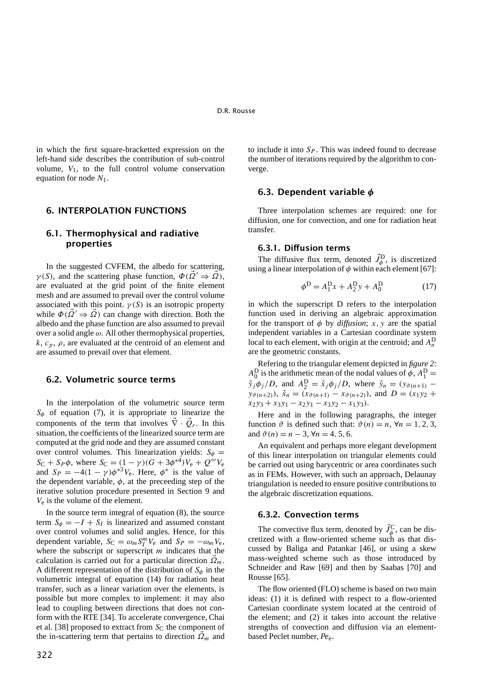in which the first square-bracketted expression on the left-hand side describes the contribution of sub-control volume,  $V_1$ , to the full control volume conservation equation for node *N*1.

#### **6. INTERPOLATION FUNCTIONS**

### **6.1. Thermophysical and radiative properties**

In the suggested CVFEM, the albedo for scattering,  $\gamma(S)$ , and the scattering phase function,  $\Phi(\Omega' \Rightarrow \Omega)$ , are evaluated at the grid point of the finite element mesh and are assumed to prevail over the control volume associated with this point.  $\gamma(S)$  is an isotropic property while  $\Phi(\Omega' \Rightarrow \Omega)$  can change with direction. Both the albedo and the phase function are also assumed to prevail over a solid angle *ω*. All other thermophysical properties,  $k, c_p, \rho$ , are evaluated at the centroid of an element and are assumed to prevail over that element.

#### **6.2. Volumetric source terms**

In the interpolation of the volumetric source term  $S_{\phi}$  of equation (7), it is appropriate to linearize the components of the term that involves  $\vec{\nabla} \cdot \vec{Q}_r$ . In this situation, the coefficients of the linearized source term are computed at the grid node and they are assumed constant over control volumes. This linearization yields:  $S_{\phi}$  =  $S_C + S_P \phi$ , where  $S_C = (1 - \gamma)(G + 3\phi^{*4})V_e + Q'''V_e$ and  $S_P = -4(1 - \gamma)\phi^{*3}V_e$ . Here,  $\phi^*$  is the value of the dependent variable,  $\phi$ , at the preceeding step of the iterative solution procedure presented in Section 9 and *V*<sub>e</sub> is the volume of the element.

In the source term integral of equation  $(8)$ , the source term  $S_{\phi} = -I + S_I$  is linearized and assumed constant over control volumes and solid angles. Hence, for this dependent variable,  $S_C = \omega_m S_I^m V_e$  and  $S_P = -\omega_m V_e$ , where the subscript or superscript *m* indicates that the calculation is carried out for a particular direction  $\Omega_m$ . A different representation of the distribution of  $S_{\phi}$  in the volumetric integral of equation (14) for radiation heat transfer, such as a linear variation over the elements, is possible but more complex to implement: it may also lead to coupling between directions that does not conform with the RTE [34]. To accelerate convergence, Chai et al. [38] proposed to extract from  $S<sub>C</sub>$  the component of the in-scattering term that pertains to direction  $\Omega_m$  and

to include it into  $S_p$ . This was indeed found to decrease the number of iterations required by the algorithm to converge.

# **6.3. Dependent variable** *φ*

Three interpolation schemes are required: one for diffusion, one for convection, and one for radiation heat transfer.

## **6.3.1. Diffusion terms**

The diffusive flux term, denoted  $\vec{J}_{\phi}^{\text{D}}$ , is discretized using a linear interpolation of  $\phi$  within each element [67]:

$$
\phi^D = A_1^D x + A_2^D y + A_0^D \tag{17}
$$

in which the superscript D refers to the interpolation function used in deriving an algebraic approximation for the transport of  $\phi$  by *diffusion*; *x*, *y* are the spatial independent variables in a Cartesian coordinate system local to each element, with origin at the centroid; and  $A_n^D$ are the geometric constants.

Refering to the triangular element depicted in *figure 2*:  $A_0^D$  is the arithmetic mean of the nodal values of  $\phi$ ,  $A_1^D$  =  $\gamma_j \phi_j / D$ , and  $A_2^D = \dot{x}_j \phi_j / D$ , where  $\dot{y}_n = (y_{\vartheta(n+1)}$ *y*<sup> $\theta$ </sup>(*n*+2)),  $\check{x}_n = (x_{\vartheta}(n+1) - x_{\vartheta}(n+2))$ , and  $D = (x_1y_2 + x_1y_1 + x_2y_2 + x_3z_1 + x_4z_2 + x_5z_3 + x_6z_4 + x_7z_4 + x_8z_5$  $x_2y_3 + x_3y_1 - x_2y_1 - x_3y_2 - x_1y_3$ .

Here and in the following paragraphs, the integer function  $\vartheta$  is defined such that:  $\vartheta(n) = n$ ,  $\forall n = 1, 2, 3$ , and  $\vartheta(n) = n - 3$ ,  $\forall n = 4, 5, 6$ .

An equivalent and perhaps more elegant development of this linear interpolation on triangular elements could be carried out using barycentric or area coordinates such as in FEMs. However, with such an approach, Delaunay triangulation is needed to ensure positive contributions to the algebraic discretization equations.

### **6.3.2. Convection terms**

The convective flux term, denoted by  $\vec{J}_{\phi}^{\text{C}}$ , can be discretized with a flow-oriented scheme such as that discussed by Baliga and Patankar [46], or using a skew mass-weighted scheme such as those introduced by Schneider and Raw [69] and then by Saabas [70] and Rousse [65].

The flow oriented (FLO) scheme is based on two main ideas: (1) it is defined with respect to a flow-oriented Cartesian coordinate system located at the centroid of the element; and (2) it takes into account the relative strengths of convection and diffusion via an elementbased Peclet number, *Pe*e.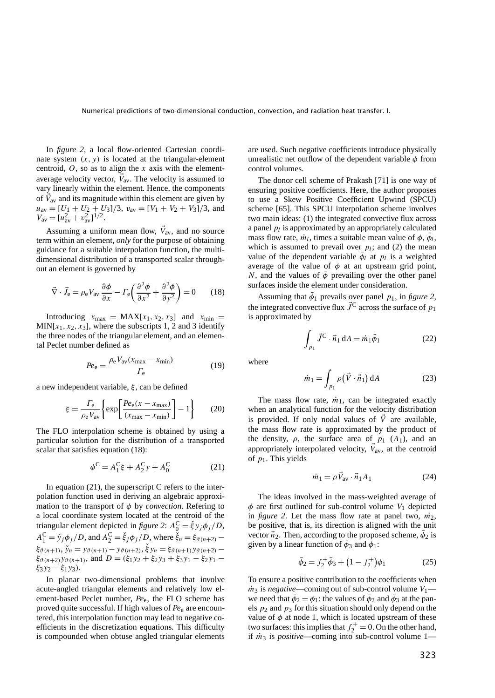In *figure 2*, a local flow-oriented Cartesian coordinate system  $(x, y)$  is located at the triangular-element centroid, *O*, so as to align the *x* axis with the elementaverage velocity vector,  $V_{\text{av}}$ . The velocity is assumed to vary linearly within the element. Hence, the components of  $\tilde{V}_{av}$  and its magnitude within this element are given by  $u_{\text{av}} = [U_1 + U_2 + U_3]/3$ ,  $v_{\text{av}} = [V_1 + V_2 + V_3]/3$ , and  $V_{\text{av}} = [u_{\text{av}}^2 + v_{\text{av}}^2]^{1/2}.$ 

Assuming a uniform mean flow,  $V_{av}$ , and no source term within an element, *only* for the purpose of obtaining guidance for a suitable interpolation function, the multidimensional distribution of a transported scalar throughout an element is governed by

$$
\vec{\nabla} \cdot \vec{J}_e = \rho_e V_{av} \frac{\partial \phi}{\partial x} - \Gamma_e \left( \frac{\partial^2 \phi}{\partial x^2} + \frac{\partial^2 \phi}{\partial y^2} \right) = 0 \tag{18}
$$

Introducing  $x_{\text{max}} = \text{MAX}[x_1, x_2, x_3]$  and  $x_{\text{min}} =$  $MIN[x_1, x_2, x_3]$ , where the subscripts 1, 2 and 3 identify the three nodes of the triangular element, and an elemental Peclet number defined as

$$
Pe_{\rm e} = \frac{\rho_{\rm e} V_{\rm av}(x_{\rm max} - x_{\rm min})}{\Gamma_{\rm e}}\tag{19}
$$

a new independent variable, *ξ* , can be defined

$$
\xi = \frac{\Gamma_{\text{e}}}{\rho_{\text{e}} V_{\text{av}}} \left\{ \exp \left[ \frac{Pe_{\text{e}}(x - x_{\text{max}})}{(x_{\text{max}} - x_{\text{min}})} \right] - 1 \right\} \tag{20}
$$

The FLO interpolation scheme is obtained by using a particular solution for the distribution of a transported scalar that satisfies equation (18):

$$
\phi^{\rm C} = A_1^{\rm C} \xi + A_2^{\rm C} y + A_0^{\rm C}
$$
 (21)

In equation  $(21)$ , the superscript C refers to the interpolation function used in deriving an algebraic approximation to the transport of *φ* by *convection*. Refering to a local coordinate system located at the centroid of the triangular element depicted in *figure 2*:  $A_0^C = \xi y_j \phi_j / D$ ,  $A_1^C = \check{y}_j \phi_j / D$ , and  $A_2^C = \check{\xi}_j \phi_j / D$ , where  $\check{\xi}_n = \xi_{\vartheta(n+2)} - D$  $\xi_{\vartheta(n+1)}, \, \check{y}_n = y_{\vartheta(n+1)} - y_{\vartheta(n+2)}, \, \check{\xi} y_n = \xi_{\vartheta(n+1)} y_{\vartheta(n+2)} \xi_{\vartheta(n+2)}y_{\vartheta(n+1)}$ , and  $D = (\xi_1y_2 + \xi_2y_3 + \xi_3y_1 - \xi_2y_1$ *ξ*3*y*<sup>2</sup> − *ξ*1*y*3*)*.

In planar two-dimensional problems that involve acute-angled triangular elements and relatively low element-based Peclet number, *Pe*e, the FLO scheme has proved quite successful. If high values of *Pe*<sup>e</sup> are encountered, this interpolation function may lead to negative coefficients in the discretization equations. This difficulty is compounded when obtuse angled triangular elements are used. Such negative coefficients introduce physically unrealistic net outflow of the dependent variable *φ* from control volumes.

The donor cell scheme of Prakash [71] is one way of ensuring positive coefficients. Here, the author proposes to use a Skew Positive Coefficient Upwind (SPCU) scheme [65]. This SPCU interpolation scheme involves two main ideas: (1) the integrated convective flux across a panel *pl* is approximated by an appropriately calculated mass flow rate,  $\dot{m}_l$ , times a suitable mean value of  $\phi$ ,  $\phi_l$ , which is assumed to prevail over  $p_l$ ; and (2) the mean value of the dependent variable  $\phi_l$  at  $p_l$  is a weighted average of the value of  $\phi$  at an upstream grid point, *N*, and the values of  $\phi$  prevailing over the other panel surfaces inside the element under consideration.

Assuming that  $\bar{\phi}_1$  prevails over panel  $p_1$ , in *figure 2*, the integrated convective flux  $\vec{J}^C$  across the surface of  $p_1$ is approximated by

$$
\int_{p_1} \vec{J}^{\mathcal{C}} \cdot \vec{n}_1 \, dA = \dot{m}_1 \bar{\phi}_1 \tag{22}
$$

where

$$
\dot{m}_1 = \int_{p_1} \rho \left( \vec{V} \cdot \vec{n}_1 \right) \mathrm{d}A \tag{23}
$$

The mass flow rate,  $\dot{m}_1$ , can be integrated exactly when an analytical function for the velocity distribution is provided. If only nodal values of  $\vec{V}$  are available, the mass flow rate is approximated by the product of the density,  $\rho$ , the surface area of  $p_1$  ( $A_1$ ), and an appropriately interpolated velocity,  $\vec{V}_{av}$ , at the centroid of *p*1. This yields

$$
\dot{m}_1 = \rho \vec{V}_{\text{av}} \cdot \vec{n}_1 A_1 \tag{24}
$$

The ideas involved in the mass-weighted average of  $\phi$  are first outlined for sub-control volume  $V_1$  depicted in *figure 2*. Let the mass flow rate at panel two, *m*˙2, be positive, that is, its direction is aligned with the unit vector  $\vec{n}_2$ . Then, according to the proposed scheme,  $\phi_2$  is given by a linear function of  $\bar{\phi}_3$  and  $\phi_1$ :

$$
\bar{\phi}_2 = f_2^+ \bar{\phi}_3 + (1 - f_2^+) \phi_1 \tag{25}
$$

To ensure a positive contribution to the coefficients when  $\dot{m}_3$  is *negative*—coming out of sub-control volume  $V_1$  we need that  $\phi_2 = \phi_1$ : the values of  $\phi_2$  and  $\phi_3$  at the panels *p*<sup>2</sup> and *p*<sup>3</sup> for this situation should only depend on the value of  $\phi$  at node 1, which is located upstream of these two surfaces: this implies that  $f_2^+ = 0$ . On the other hand, if  $\dot{m}_3$  is *positive*—coming into sub-control volume 1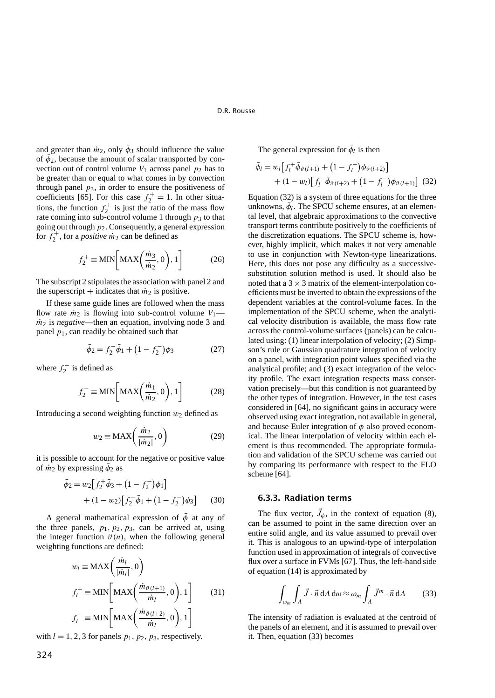and greater than  $\dot{m}_2$ , only  $\bar{\phi}_3$  should influence the value of  $\phi_2$ , because the amount of scalar transported by convection out of control volume  $V_1$  across panel  $p_2$  has to be greater than or equal to what comes in by convection through panel  $p_3$ , in order to ensure the positiveness of coefficients [65]. For this case  $f_2^+ = 1$ . In other situations, the function  $f_2^+$  is just the ratio of the mass flow rate coming into sub-control volume 1 through  $p_3$  to that going out through *p*2. Consequently, a general expression for  $f_2^+$ , for a *positive*  $\dot{m}_2$  can be defined as

$$
f_2^+ \equiv \text{MIN}\bigg[\text{MAX}\bigg(\frac{\dot{m}_3}{\dot{m}_2}, 0\bigg), 1\bigg] \tag{26}
$$

The subscript 2 stipulates the association with panel 2 and the superscript  $+$  indicates that  $\dot{m}_2$  is positive.

If these same guide lines are followed when the mass flow rate  $\dot{m}_2$  is flowing into sub-control volume  $V_1$ —  $\dot{m}_2$  is *negative*—then an equation, involving node 3 and panel  $p_1$ , can readily be obtained such that

$$
\bar{\phi}_2 = f_2^-\bar{\phi}_1 + (1 - f_2^-)\phi_3 \tag{27}
$$

where  $f_2^-$  is defined as

$$
f_2^- \equiv \text{MIN}\bigg[\text{MAX}\bigg(\frac{\dot{m}_1}{\dot{m}_2}, 0\bigg), 1\bigg] \tag{28}
$$

Introducing a second weighting function  $w_2$  defined as

$$
w_2 \equiv \text{MAX}\left(\frac{\dot{m}_2}{|\dot{m}_2|}, 0\right) \tag{29}
$$

it is possible to account for the negative or positive value of  $\dot{m}_2$  by expressing  $\bar{\phi}_2$  as

$$
\bar{\phi}_2 = w_2 \left[ f_2^+ \bar{\phi}_3 + \left( 1 - f_2^- \right) \phi_1 \right] \n+ (1 - w_2) \left[ f_2^- \bar{\phi}_1 + \left( 1 - f_2^- \right) \phi_3 \right] \tag{30}
$$

A general mathematical expression of  $\bar{\phi}$  at any of the three panels,  $p_1$ ,  $p_2$ ,  $p_3$ , can be arrived at, using the integer function  $\vartheta(n)$ , when the following general weighting functions are defined:

$$
w_l \equiv \text{MAX}\left(\frac{\dot{m}_l}{|\dot{m}_l|}, 0\right)
$$
  

$$
f_l^+ \equiv \text{MIN}\left[\text{MAX}\left(\frac{\dot{m}_{\vartheta(l+1)}}{\dot{m}_l}, 0\right), 1\right]
$$
(31)  

$$
f_l^- \equiv \text{MIN}\left[\text{MAX}\left(\frac{\dot{m}_{\vartheta(l+2)}}{\dot{m}_l}, 0\right), 1\right]
$$

with  $l = 1, 2, 3$  for panels  $p_1, p_2, p_3$ , respectively.

The general expression for  $\bar{\phi}_l$  is then

$$
\bar{\phi}_l = w_l \big[ f_l^+ \bar{\phi}_{\vartheta(l+1)} + (1 - f_l^+) \phi_{\vartheta(l+2)} \big] + (1 - w_l) \big[ f_l^- \bar{\phi}_{\vartheta(l+2)} + (1 - f_l^-) \phi_{\vartheta(l+1)} \big] \tag{32}
$$

Equation (32) is a system of three equations for the three unknowns,  $\phi_l$ . The SPCU scheme ensures, at an elemental level, that algebraic approximations to the convective transport terms contribute positively to the coefficients of the discretization equations. The SPCU scheme is, however, highly implicit, which makes it not very amenable to use in conjunction with Newton-type linearizations. Here, this does not pose any difficulty as a successivesubstitution solution method is used. It should also be noted that a  $3 \times 3$  matrix of the element-interpolation coefficients must be inverted to obtain the expressions of the dependent variables at the control-volume faces. In the implementation of the SPCU scheme, when the analytical velocity distribution is available, the mass flow rate across the control-volume surfaces (panels) can be calculated using: (1) linear interpolation of velocity; (2) Simpson's rule or Gaussian quadrature integration of velocity on a panel, with integration point values specified via the analytical profile; and (3) exact integration of the velocity profile. The exact integration respects mass conservation precisely—but this condition is not guaranteed by the other types of integration. However, in the test cases considered in [64], no significant gains in accuracy were observed using exact integration, not available in general, and because Euler integration of *φ* also proved economical. The linear interpolation of velocity within each element is thus recommended. The appropriate formulation and validation of the SPCU scheme was carried out by comparing its performance with respect to the FLO scheme [64].

#### **6.3.3. Radiation terms**

The flux vector,  $J_{\phi}$ , in the context of equation (8), can be assumed to point in the same direction over an entire solid angle, and its value assumed to prevail over it. This is analogous to an upwind-type of interpolation function used in approximation of integrals of convective flux over a surface in FVMs [67]. Thus, the left-hand side of equation (14) is approximated by

$$
\int_{\omega_m} \int_A \vec{J} \cdot \vec{n} \, dA \, d\omega \approx \omega_m \int_A \vec{J}^m \cdot \vec{n} \, dA \qquad (33)
$$

The intensity of radiation is evaluated at the centroid of the panels of an element, and it is assumed to prevail over it. Then, equation (33) becomes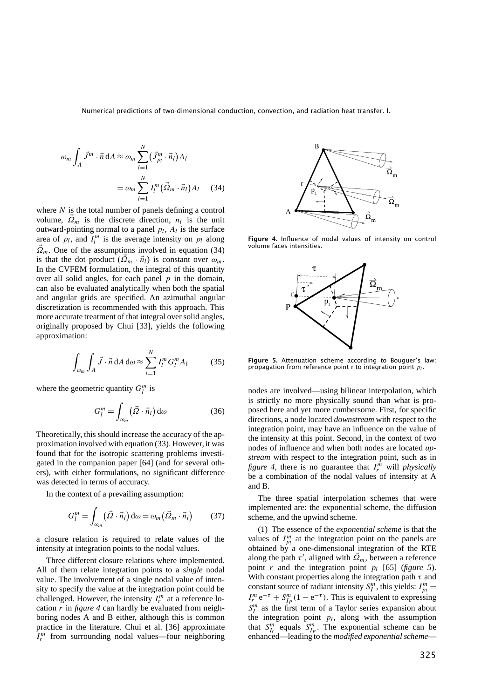$$
\omega_m \int_A \vec{J}^m \cdot \vec{n} \, dA \approx \omega_m \sum_{l=1}^N (\vec{J}_{p_l}^m \cdot \vec{n}_l) A_l
$$

$$
= \omega_m \sum_{l=1}^N I_l^m (\vec{\Omega}_m \cdot \vec{n}_l) A_l \qquad (34)
$$

where *N* is the total number of panels defining a control volume,  $\Omega_m$  is the discrete direction,  $n_l$  is the unit outward-pointing normal to a panel  $p_l$ ,  $A_l$  is the surface area of  $p_l$ , and  $I_l^m$  is the average intensity on  $p_l$  along  $\Omega_m$ . One of the assumptions involved in equation (34) is that the dot product  $(\Omega_m \cdot \vec{n}_l)$  is constant over  $\omega_m$ . In the CVFEM formulation, the integral of this quantity over all solid angles, for each panel *p* in the domain, can also be evaluated analytically when both the spatial and angular grids are specified. An azimuthal angular discretization is recommended with this approach. This more accurate treatment of that integral over solid angles, originally proposed by Chui [33], yields the following approximation:

$$
\int_{\omega_m} \int_A \vec{J} \cdot \vec{n} \, dA \, d\omega \approx \sum_{l=1}^N I_l^m G_l^m A_l \tag{35}
$$

where the geometric quantity  $G_l^m$  is

$$
G_l^m = \int_{\omega_m} (\vec{\Omega} \cdot \vec{n}_l) d\omega \tag{36}
$$

Theoretically, this should increase the accuracy of the approximation involved with equation (33). However, it was found that for the isotropic scattering problems investigated in the companion paper [64] (and for several others), with either formulations, no significant difference was detected in terms of accuracy.

In the context of a prevailing assumption:

$$
G_l^m = \int_{\omega_m} (\vec{\Omega} \cdot \vec{n}_l) d\omega = \omega_m (\vec{\Omega}_m \cdot \vec{n}_l)
$$
(37)

a closure relation is required to relate values of the intensity at integration points to the nodal values.

Three different closure relations where implemented. All of them relate integration points to a *single* nodal value. The involvement of a single nodal value of intensity to specify the value at the integration point could be challenged. However, the intensity  $I_r^m$  at a reference location *r* in *figure 4* can hardly be evaluated from neighboring nodes A and B either, although this is common practice in the literature. Chui et al. [36] approximate  $I_r^m$  from surrounding nodal values—four neighboring



**Figure 4.** Influence of nodal values of intensity on control volume faces intensities.



**Figure 5.** Attenuation scheme according to Bouguer's law: propagation from reference point r to integration point *pl*.

nodes are involved—using bilinear interpolation, which is strictly no more physically sound than what is proposed here and yet more cumbersome. First, for specific directions, a node located *downstream* with respect to the integration point, may have an influence on the value of the intensity at this point. Second, in the context of two nodes of influence and when both nodes are located *upstream* with respect to the integration point, such as in *figure 4, there is no guarantee that*  $I_r^m$  *will <i>physically* be a combination of the nodal values of intensity at A and B.

The three spatial interpolation schemes that were implemented are: the exponential scheme, the diffusion scheme, and the upwind scheme.

(1) The essence of the *exponential scheme* is that the values of  $I_{p_l}^m$  at the integration point on the panels are obtained by a one-dimensional integration of the RTE along the path *τ'*, aligned with  $Ω<sub>m</sub>$ , between a reference point *r* and the integration point *pl* [65] (*figure 5*). With constant properties along the integration path *τ* and constant source of radiant intensity  $S_l^m$ , this yields:  $I_{p_l}^m$  =  $I_r^m e^{-\tau} + S_{I_P}^m (1 - e^{-\tau})$ . This is equivalent to expressing  $S_I^m$  as the first term of a Taylor series expansion about the integration point  $p_l$ , along with the assumption that  $S_{I_r}^m$  equals  $S_{I_P}^m$ . The exponential scheme can be enhanced—leading to the *modified exponential scheme*—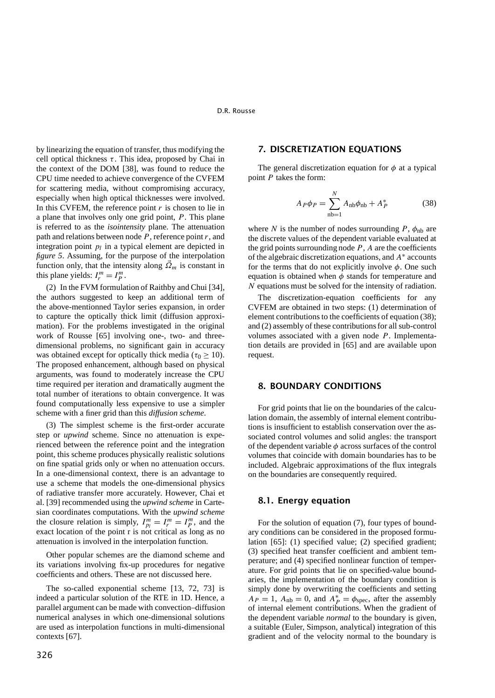by linearizing the equation of transfer, thus modifying the cell optical thickness  $\tau$ . This idea, proposed by Chai in the context of the DOM [38], was found to reduce the CPU time needed to achieve convergence of the CVFEM for scattering media, without compromising accuracy, especially when high optical thicknesses were involved. In this CVFEM, the reference point  $r$  is chosen to lie in a plane that involves only one grid point, *P*. This plane is referred to as the *isointensity* plane. The attenuation path and relations between node *P*, reference point*r*, and integration point  $p_l$  in a typical element are depicted in *figure 5*. Assuming, for the purpose of the interpolation function only, that the intensity along  $\Omega_m$  is constant in this plane yields:  $I_r^m = I_p^m$ .

(2) In the FVM formulation of Raithby and Chui [34], the authors suggested to keep an additional term of the above-mentionned Taylor series expansion, in order to capture the optically thick limit (diffusion approximation). For the problems investigated in the original work of Rousse [65] involving one-, two- and threedimensional problems, no significant gain in accuracy was obtained except for optically thick media ( $\tau_0 \geq 10$ ). The proposed enhancement, although based on physical arguments, was found to moderately increase the CPU time required per iteration and dramatically augment the total number of iterations to obtain convergence. It was found computationally less expensive to use a simpler scheme with a finer grid than this *diffusion scheme*.

(3) The simplest scheme is the first-order accurate step or *upwind* scheme. Since no attenuation is experienced between the reference point and the integration point, this scheme produces physically realistic solutions on fine spatial grids only or when no attenuation occurs. In a one-dimensional context, there is an advantage to use a scheme that models the one-dimensional physics of radiative transfer more accurately. However, Chai et al. [39] recommended using the *upwind scheme* in Cartesian coordinates computations. With the *upwind scheme* the closure relation is simply,  $I_{p_l}^m = I_r^m = I_p^m$ , and the exact location of the point r is not critical as long as no attenuation is involved in the interpolation function.

Other popular schemes are the diamond scheme and its variations involving fix-up procedures for negative coefficients and others. These are not discussed here.

The so-called exponential scheme [13, 72, 73] is indeed a particular solution of the RTE in 1D. Hence, a parallel argument can be made with convection–diffusion numerical analyses in which one-dimensional solutions are used as interpolation functions in multi-dimensional contexts [67].

# **7. DISCRETIZATION EQUATIONS**

The general discretization equation for  $\phi$  at a typical point *P* takes the form:

$$
A_P \phi_P = \sum_{\text{nb}=1}^{N} A_{\text{nb}} \phi_{\text{nb}} + A_P^*
$$
 (38)

where *N* is the number of nodes surrounding *P*,  $\phi_{\text{nb}}$  are the discrete values of the dependent variable evaluated at the grid points surrounding node *P*, *A* are the coefficients of the algebraic discretization equations, and *A*∗ accounts for the terms that do not explicitly involve *φ*. One such equation is obtained when  $\phi$  stands for temperature and *N* equations must be solved for the intensity of radiation.

The discretization-equation coefficients for any CVFEM are obtained in two steps: (1) determination of element contributions to the coefficients of equation (38); and (2) assembly of these contributions for all sub-control volumes associated with a given node *P*. Implementation details are provided in [65] and are available upon request.

### **8. BOUNDARY CONDITIONS**

For grid points that lie on the boundaries of the calculation domain, the assembly of internal element contributions is insufficient to establish conservation over the associated control volumes and solid angles: the transport of the dependent variable *φ* across surfaces of the control volumes that coincide with domain boundaries has to be included. Algebraic approximations of the flux integrals on the boundaries are consequently required.

## **8.1. Energy equation**

For the solution of equation (7), four types of boundary conditions can be considered in the proposed formulation [65]: (1) specified value; (2) specified gradient; (3) specified heat transfer coefficient and ambient temperature; and (4) specified nonlinear function of temperature. For grid points that lie on specified-value boundaries, the implementation of the boundary condition is simply done by overwriting the coefficients and setting  $A_P = 1$ ,  $A_{\text{nb}} = 0$ , and  $A_P^* = \phi_{\text{spec}}$ , after the assembly of internal element contributions. When the gradient of the dependent variable *normal* to the boundary is given, a suitable (Euler, Simpson, analytical) integration of this gradient and of the velocity normal to the boundary is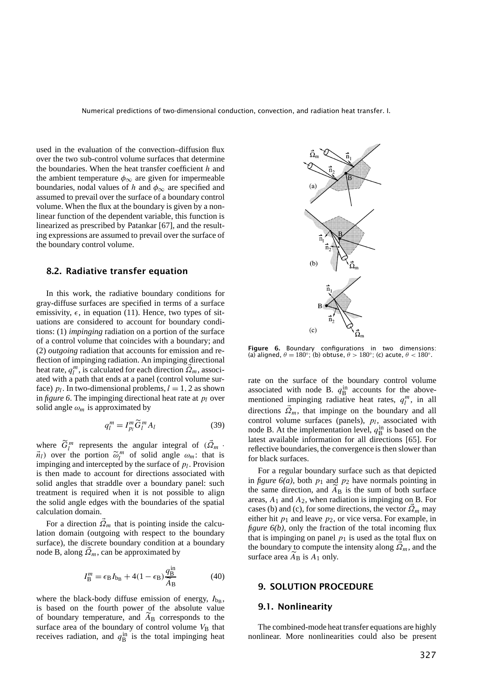used in the evaluation of the convection–diffusion flux over the two sub-control volume surfaces that determine the boundaries. When the heat transfer coefficient *h* and the ambient temperature  $\phi_{\infty}$  are given for impermeable boundaries, nodal values of *h* and  $\phi_{\infty}$  are specified and assumed to prevail over the surface of a boundary control volume. When the flux at the boundary is given by a nonlinear function of the dependent variable, this function is linearized as prescribed by Patankar [67], and the resulting expressions are assumed to prevail over the surface of the boundary control volume.

#### **8.2. Radiative transfer equation**

In this work, the radiative boundary conditions for gray-diffuse surfaces are specified in terms of a surface emissivity,  $\epsilon$ , in equation (11). Hence, two types of situations are considered to account for boundary conditions: (1) *impinging* radiation on a portion of the surface of a control volume that coincides with a boundary; and (2) *outgoing* radiation that accounts for emission and reflection of impinging radiation. An impinging directional heat rate,  $q_l^m$ , is calculated for each direction  $\vec{\Omega}_m$ , associated with a path that ends at a panel (control volume surface)  $p_l$ . In two-dimensional problems,  $l = 1, 2$  as shown in *figure 6*. The impinging directional heat rate at *pl* over solid angle  $\omega_m$  is approximated by

$$
q_l^m = I_{p_l}^m \widetilde{G}_l^m A_l \tag{39}
$$

where  $\widetilde{G}_l^m$  represents the angular integral of  $(\vec{\Omega}_m \cdot \vec{\Omega}_m)$  $\vec{n}_l$ ) over the portion  $\tilde{\omega}_l^m$  of solid angle  $\omega_m$ : that is impinging and intercepted by the surface of *pl*. Provision is then made to account for directions associated with solid angles that straddle over a boundary panel: such treatment is required when it is not possible to align the solid angle edges with the boundaries of the spatial calculation domain.

For a direction  $\vec{\Omega}_m$  that is pointing inside the calculation domain (outgoing with respect to the boundary surface), the discrete boundary condition at a boundary node B, along  $\Omega_m$ , can be approximated by

$$
I_{\rm B}^m = \epsilon_{\rm B} I_{\rm b_B} + 4(1 - \epsilon_{\rm B}) \frac{q_{\rm B}^{\rm in}}{\widetilde{A}_{\rm B}}
$$
(40)

where the black-body diffuse emission of energy,  $I_{\text{b}_B}$ , is based on the fourth power of the absolute value of boundary temperature, and A<sub>B</sub> corresponds to the surface area of the boundary of control volume  $V_B$  that receives radiation, and  $q_B^{\text{in}}$  is the total impinging heat



**Figure 6.** Boundary configurations in two dimensions: (a) aligned,  $\theta = 180^\circ$ ; (b) obtuse,  $\theta > 180^\circ$ ; (c) acute,  $\theta < 180^\circ$ .

rate on the surface of the boundary control volume associated with node B.  $q_B^{\text{in}}$  accounts for the abovementioned impinging radiative heat rates,  $q_l^m$ , in all directions  $\Omega_m$ , that impinge on the boundary and all control volume surfaces (panels), *pl*, associated with node B. At the implementation level,  $q_B^{\text{in}}$  is based on the latest available information for all directions [65]. For reflective boundaries, the convergence is then slower than for black surfaces.

For a regular boundary surface such as that depicted in *figure*  $6(a)$ , both  $p_1$  and  $p_2$  have normals pointing in the same direction, and  $A_B$  is the sum of both surface areas, *A*<sup>1</sup> and *A*2, when radiation is impinging on B. For cases (b) and (c), for some directions, the vector  $\Omega_m$  may either hit  $p_1$  and leave  $p_2$ , or vice versa. For example, in *figure 6(b)*, only the fraction of the total incoming flux that is impinging on panel  $p_1$  is used as the total flux on the boundary to compute the intensity along  $\Omega_m$ , and the surface area  $A_B$  is  $A_1$  only.

#### **9. SOLUTION PROCEDURE**

#### **9.1. Nonlinearity**

The combined-mode heat transfer equations are highly nonlinear. More nonlinearities could also be present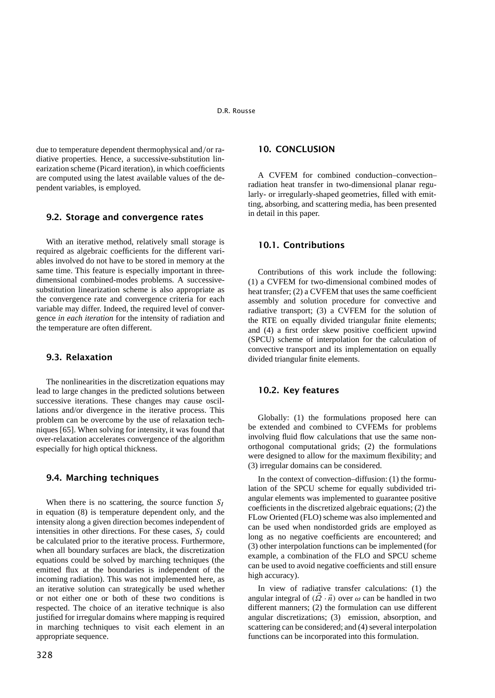due to temperature dependent thermophysical and*/*or radiative properties. Hence, a successive-substitution linearization scheme (Picard iteration), in which coefficients are computed using the latest available values of the dependent variables, is employed.

#### **9.2. Storage and convergence rates**

With an iterative method, relatively small storage is required as algebraic coefficients for the different variables involved do not have to be stored in memory at the same time. This feature is especially important in threedimensional combined-modes problems. A successivesubstitution linearization scheme is also appropriate as the convergence rate and convergence criteria for each variable may differ. Indeed, the required level of convergence *in each iteration* for the intensity of radiation and the temperature are often different.

## **9.3. Relaxation**

The nonlinearities in the discretization equations may lead to large changes in the predicted solutions between successive iterations. These changes may cause oscillations and/or divergence in the iterative process. This problem can be overcome by the use of relaxation techniques [65]. When solving for intensity, it was found that over-relaxation accelerates convergence of the algorithm especially for high optical thickness.

## **9.4. Marching techniques**

When there is no scattering, the source function *SI* in equation (8) is temperature dependent only, and the intensity along a given direction becomes independent of intensities in other directions. For these cases,  $S_I$  could be calculated prior to the iterative process. Furthermore, when all boundary surfaces are black, the discretization equations could be solved by marching techniques (the emitted flux at the boundaries is independent of the incoming radiation). This was not implemented here, as an iterative solution can strategically be used whether or not either one or both of these two conditions is respected. The choice of an iterative technique is also justified for irregular domains where mapping is required in marching techniques to visit each element in an appropriate sequence.

## **10. CONCLUSION**

A CVFEM for combined conduction–convection– radiation heat transfer in two-dimensional planar regularly- or irregularly-shaped geometries, filled with emitting, absorbing, and scattering media, has been presented in detail in this paper.

## **10.1. Contributions**

Contributions of this work include the following: (1) a CVFEM for two-dimensional combined modes of heat transfer; (2) a CVFEM that uses the same coefficient assembly and solution procedure for convective and radiative transport; (3) a CVFEM for the solution of the RTE on equally divided triangular finite elements; and (4) a first order skew positive coefficient upwind (SPCU) scheme of interpolation for the calculation of convective transport and its implementation on equally divided triangular finite elements.

#### **10.2. Key features**

Globally: (1) the formulations proposed here can be extended and combined to CVFEMs for problems involving fluid flow calculations that use the same nonorthogonal computational grids; (2) the formulations were designed to allow for the maximum flexibility; and (3) irregular domains can be considered.

In the context of convection–diffusion: (1) the formulation of the SPCU scheme for equally subdivided triangular elements was implemented to guarantee positive coefficients in the discretized algebraic equations; (2) the FLow Oriented (FLO) scheme was also implemented and can be used when nondistorded grids are employed as long as no negative coefficients are encountered; and (3) other interpolation functions can be implemented (for example, a combination of the FLO and SPCU scheme can be used to avoid negative coefficients and still ensure high accuracy).

In view of radiative transfer calculations: (1) the angular integral of  $(\vec{\Omega} \cdot \vec{n})$  over  $\omega$  can be handled in two different manners; (2) the formulation can use different angular discretizations; (3) emission, absorption, and scattering can be considered; and (4) several interpolation functions can be incorporated into this formulation.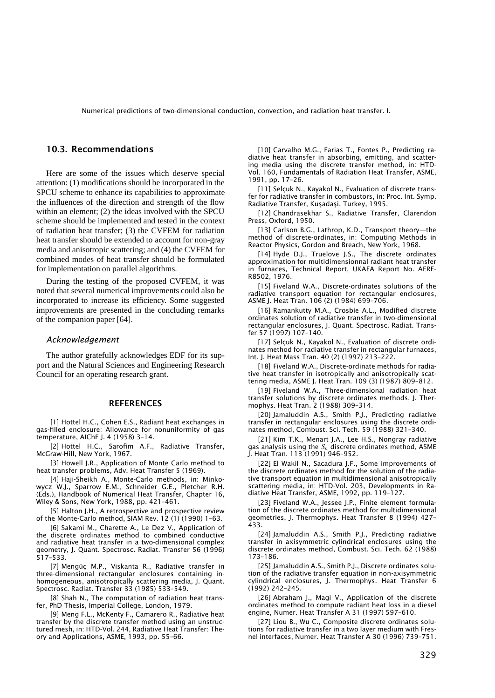## **10.3. Recommendations**

Here are some of the issues which deserve special attention: (1) modifications should be incorporated in the SPCU scheme to enhance its capabilities to approximate the influences of the direction and strength of the flow within an element; (2) the ideas involved with the SPCU scheme should be implemented and tested in the context of radiation heat transfer; (3) the CVFEM for radiation heat transfer should be extended to account for non-gray media and anisotropic scattering; and (4) the CVFEM for combined modes of heat transfer should be formulated for implementation on parallel algorithms.

During the testing of the proposed CVFEM, it was noted that several numerical improvements could also be incorporated to increase its efficiency. Some suggested improvements are presented in the concluding remarks of the companion paper [64].

#### *Acknowledgement*

The author gratefully acknowledges EDF for its support and the Natural Sciences and Engineering Research Council for an operating research grant.

#### **REFERENCES**

[1] Hottel H.C., Cohen E.S., Radiant heat exchanges in gas-filled enclosure: Allowance for nonuniformity of gas temperature, AIChE J. 4 (1958) 3–14.

[2] Hottel H.C., Sarofim A.F., Radiative Transfer, McGraw-Hill, New York, 1967.

[3] Howell J.R., Application of Monte Carlo method to heat transfer problems, Adv. Heat Transfer 5 (1969).

[4] Haji-Sheikh A., Monte-Carlo methods, in: Minkowycz W.J., Sparrow E.M., Schneider G.E., Pletcher R.H. (Eds.), Handbook of Numerical Heat Transfer, Chapter 16, Wiley & Sons, New York, 1988, pp. 421–461.

[5] Halton J.H., A retrospective and prospective review of the Monte-Carlo method, SIAM Rev. 12 (1) (1990) 1–63.

[6] Sakami M., Charette A., Le Dez V., Application of the discrete ordinates method to combined conductive and radiative heat transfer in a two-dimensional complex geometry, J. Quant. Spectrosc. Radiat. Transfer 56 (1996) 517–533.

[7] Mengüç M.P., Viskanta R., Radiative transfer in three-dimensional rectangular enclosures containing inhomogeneous, anisotropically scattering media, J. Quant. Spectrosc. Radiat. Transfer 33 (1985) 533–549.

[8] Shah N., The computation of radiation heat transfer, PhD Thesis, Imperial College, London, 1979.

[9] Meng F.L., McKenty F., Camarero R., Radiative heat transfer by the discrete transfer method using an unstructured mesh, in: HTD-Vol. 244, Radiative Heat Transfer: Theory and Applications, ASME, 1993, pp. 55–66.

[10] Carvalho M.G., Farias T., Fontes P., Predicting radiative heat transfer in absorbing, emitting, and scattering media using the discrete transfer method, in: HTD-Vol. 160, Fundamentals of Radiation Heat Transfer, ASME, 1991, pp. 17–26.

[11] Selçuk N., Kayakol N., Evaluation of discrete transfer for radiative transfer in combustors, in: Proc. Int. Symp. Radiative Transfer, Kuşadaşi, Turkey, 1995.

[12] Chandrasekhar S., Radiative Transfer, Clarendon Press, Oxford, 1950.

[13] Carlson B.G., Lathrop, K.D., Transport theory—the method of discrete-ordinates, in: Computing Methods in Reactor Physics, Gordon and Breach, New York, 1968.

[14] Hyde D.J., Truelove J.S., The discrete ordinates approximation for multidimensionnal radiant heat transfer in furnaces, Technical Report, UKAEA Report No. AERE-R8502, 1976.

[15] Fiveland W.A., Discrete-ordinates solutions of the radiative transport equation for rectangular enclosures, ASME J. Heat Tran. 106 (2) (1984) 699–706.

[16] Ramankutty M.A., Crosbie A.L., Modified discrete ordinates solution of radiative transfer in two-dimensional rectangular enclosures, J. Quant. Spectrosc. Radiat. Transfer 57 (1997) 107–140.

[17] Selçuk N., Kayakol N., Evaluation of discrete ordinates method for radiative transfer in rectangular furnaces, Int. J. Heat Mass Tran. 40 (2) (1997) 213–222.

[18] Fiveland W.A., Discrete-ordinate methods for radiative heat transfer in isotropically and anisotropically scattering media, ASME J. Heat Tran. 109 (3) (1987) 809–812.

[19] Fiveland W.A., Three-dimensional radiation heat transfer solutions by discrete ordinates methods, J. Thermophys. Heat Tran. 2 (1988) 309–314.

[20] Jamaluddin A.S., Smith P.J., Predicting radiative transfer in rectangular enclosures using the discrete ordinates method, Combust. Sci. Tech. 59 (1988) 321–340.

[21] Kim T.K., Menart J.A., Lee H.S., Nongray radiative gas analysis using the  $S_n$  discrete ordinates method, ASME J. Heat Tran. 113 (1991) 946–952.

[22] El Wakil N., Sacadura J.F., Some improvements of the discrete ordinates method for the solution of the radiative transport equation in multidimensional anisotropically scattering media, in: HTD-Vol. 203, Developments in Radiative Heat Transfer, ASME, 1992, pp. 119–127.

[23] Fiveland W.A., Jessee J.P., Finite element formulation of the discrete ordinates method for multidimensional geometries, J. Thermophys. Heat Transfer 8 (1994) 427– 433.

[24] Jamaluddin A.S., Smith P.J., Predicting radiative transfer in axisymmetric cylindrical enclosures using the discrete ordinates method, Combust. Sci. Tech. 62 (1988) 173–186.

[25] Jamaluddin A.S., Smith P.J., Discrete ordinates solution of the radiative transfer equation in non-axisymmetric cylindrical enclosures, J. Thermophys. Heat Transfer 6 (1992) 242–245.

[26] Abraham J., Magi V., Application of the discrete ordinates method to compute radiant heat loss in a diesel engine, Numer. Heat Transfer A 31 (1997) 597–610.

[27] Liou B., Wu C., Composite discrete ordinates solutions for radiative transfer in a two layer medium with Fresnel interfaces, Numer. Heat Transfer A 30 (1996) 739–751.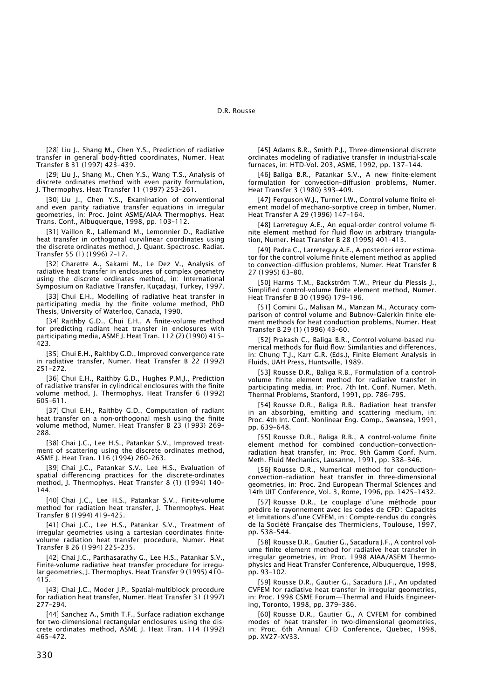[28] Liu J., Shang M., Chen Y.S., Prediction of radiative transfer in general body-fitted coordinates, Numer. Heat Transfer B 31 (1997) 423–439.

[29] Liu J., Shang M., Chen Y.S., Wang T.S., Analysis of discrete ordinates method with even parity formulation, J. Thermophys. Heat Transfer 11 (1997) 253–261.

[30] Liu J., Chen Y.S., Examination of conventional and even parity radiative transfer equations in irregular geometries, in: Proc. Joint ASME/AIAA Thermophys. Heat Trans. Conf., Albuquerque, 1998, pp. 103–112.

[31] Vaillon R., Lallemand M., Lemonnier D., Radiative heat transfer in orthogonal curvilinear coordinates using the discrete ordinates method, J. Quant. Spectrosc. Radiat. Transfer 55 (1) (1996) 7–17.

[32] Charette A., Sakami M., Le Dez V., Analysis of radiative heat transfer in enclosures of complex geometry using the discrete ordinates method, in: International Symposium on Radiative Transfer, Kuçadaşi, Turkey, 1997.

[33] Chui E.H., Modelling of radiative heat transfer in participating media by the finite volume method, PhD Thesis, University of Waterloo, Canada, 1990.

[34] Raithby G.D., Chui E.H., A finite-volume method for predicting radiant heat transfer in enclosures with participating media, ASME J. Heat Tran. 112 (2) (1990) 415– 423.

[35] Chui E.H., Raithby G.D., Improved convergence rate in radiative transfer, Numer. Heat Transfer B 22 (1992) 251–272.

[36] Chui E.H., Raithby G.D., Hughes P.M.J., Prediction of radiative transfer in cylindrical enclosures with the finite volume method, J. Thermophys. Heat Transfer 6 (1992) 605–611.

[37] Chui E.H., Raithby G.D., Computation of radiant heat transfer on a non-orthogonal mesh using the finite volume method, Numer. Heat Transfer B 23 (1993) 269– 288.

[38] Chai J.C., Lee H.S., Patankar S.V., Improved treatment of scattering using the discrete ordinates method, ASME J. Heat Tran. 116 (1994) 260–263.

[39] Chai J.C., Patankar S.V., Lee H.S., Evaluation of spatial differencing practices for the discrete-ordinates method, J. Thermophys. Heat Transfer 8 (1) (1994) 140– 144.

[40] Chai J.C., Lee H.S., Patankar S.V., Finite-volume method for radiation heat transfer, J. Thermophys. Heat Transfer 8 (1994) 419–425.

[41] Chai J.C., Lee H.S., Patankar S.V., Treatment of irregular geometries using a cartesian coordinates finitevolume radiation heat transfer procedure, Numer. Heat Transfer B 26 (1994) 225–235.

[42] Chai J.C., Parthasarathy G., Lee H.S., Patankar S.V., Finite-volume radiative heat transfer procedure for irregular geometries, J. Thermophys. Heat Transfer 9 (1995) 410– 415.

[43] Chai J.C., Moder J.P., Spatial-multiblock procedure for radiation heat transfer, Numer. Heat Transfer 31 (1997) 277–294.

[44] Sanchez A., Smith T.F., Surface radiation exchange for two-dimensional rectangular enclosures using the discrete ordinates method, ASME J. Heat Tran. 114 (1992) 465–472.

[45] Adams B.R., Smith P.J., Three-dimensional discrete ordinates modeling of radiative transfer in industrial-scale furnaces, in: HTD-Vol. 203, ASME, 1992, pp. 137–144.

[46] Baliga B.R., Patankar S.V., A new finite-element formulation for convection–diffusion problems, Numer. Heat Transfer 3 (1980) 393–409.

[47] Ferguson W.J., Turner I.W., Control volume finite element model of mechano-sorptive creep in timber, Numer. Heat Transfer A 29 (1996) 147–164.

[48] Larreteguy A.E., An equal-order control volume finite element method for fluid flow in arbitrary triangulation, Numer. Heat Transfer B 28 (1995) 401–413.

[49] Padra C., Larreteguy A.E., A-posteriori error estimator for the control volume finite element method as applied to convection–diffusion problems, Numer. Heat Transfer B 27 (1995) 63–80.

[50] Harms T.M., Backström T.W., Prieur du Plessis J., Simplified control-volume finite element method, Numer. Heat Transfer B 30 (1996) 179–196.

[51] Comini G., Malisan M., Manzan M., Accuracy comparison of control volume and Bubnov–Galerkin finite element methods for heat conduction problems, Numer. Heat Transfer B 29 (1) (1996) 43–60.

[52] Prakash C., Baliga B.R., Control-volume-based numerical methods for fluid flow: Similarities and differences, in: Chung T.J., Karr G.R. (Eds.), Finite Element Analysis in Fluids, UAH Press, Huntsville, 1989.

[53] Rousse D.R., Baliga R.B., Formulation of a controlvolume finite element method for radiative transfer in participating media, in: Proc. 7th Int. Conf. Numer. Meth. Thermal Problems, Stanford, 1991, pp. 786–795.

[54] Rousse D.R., Baliga R.B., Radiation heat transfer in an absorbing, emitting and scattering medium, in: Proc. 4th Int. Conf. Nonlinear Eng. Comp., Swansea, 1991, pp. 639–648.

[55] Rousse D.R., Baliga R.B., A control-volume finite element method for combined conduction–convection– radiation heat transfer, in: Proc. 9th Gamm Conf. Num. Meth. Fluid Mechanics, Lausanne, 1991, pp. 338–346.

[56] Rousse D.R., Numerical method for conduction– convection–radiation heat transfer in three-dimensional geometries, in: Proc. 2nd European Thermal Sciences and 14th UIT Conference, Vol. 3, Rome, 1996, pp. 1425–1432.

[57] Rousse D.R., Le couplage d'une méthode pour prédire le rayonnement avec les codes de CFD: Capacités et limitations d'une CVFEM, in : Compte-rendus du congrès de la Société Française des Thermiciens, Toulouse, 1997, pp. 538–544.

[58] Rousse D.R., Gautier G., Sacadura J.F., A control volume finite element method for radiative heat transfer in irregular geometries, in: Proc. 1998 AIAA/ASEM Thermophysics and Heat Transfer Conference, Albuquerque, 1998, pp. 93–102.

[59] Rousse D.R., Gautier G., Sacadura J.F., An updated CVFEM for radiative heat transfer in irregular geometries, in: Proc. 1998 CSME Forum—Thermal and Fluids Engineering, Toronto, 1998, pp. 379–386.

[60] Rousse D.R., Gautier G., A CVFEM for combined modes of heat transfer in two-dimensional geometries, in: Proc. 6th Annual CFD Conference, Quebec, 1998, pp. XV27–XV33.